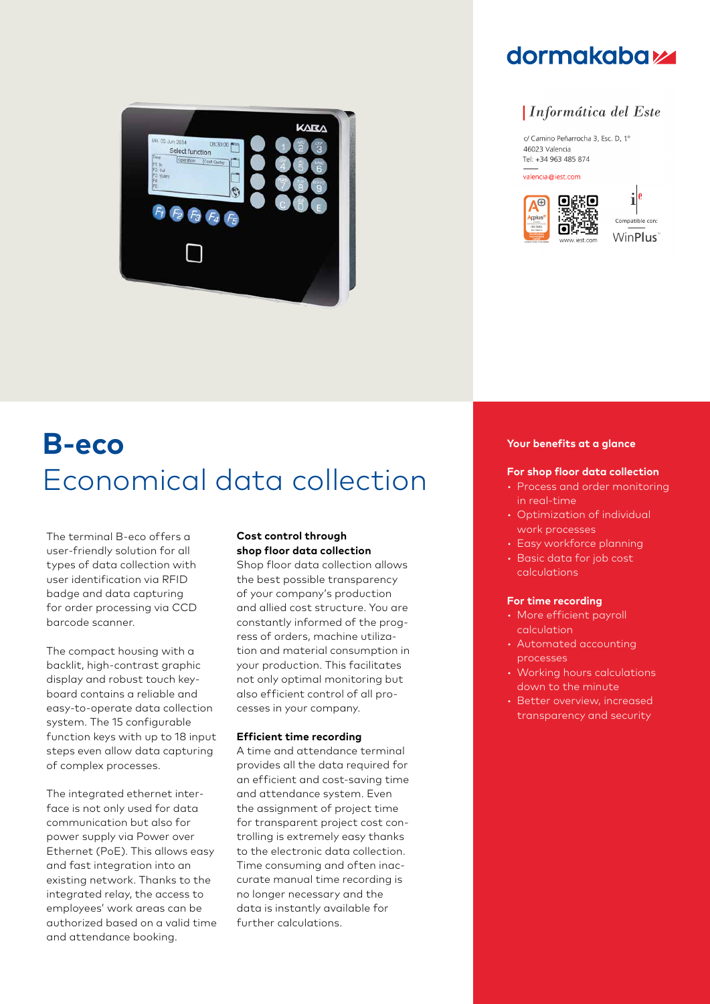

## **dormakabazz**

### *Informática del Este*

c/ Camino Peñarrocha 3, Esc. D, 1º 46023 Valencia Tel: +34 963 485 874

valencia@iest.com





# **B-eco** Economical data collection

The terminal B-eco offers a user-friendly solution for all types of data collection with user identification via RFID badge and data capturing for order processing via CCD barcode scanner.

The compact housing with a backlit, high-contrast graphic display and robust touch keyboard contains a reliable and easy-to-operate data collection system. The 15 configurable function keys with up to 18 input steps even allow data capturing of complex processes.

The integrated ethernet interface is not only used for data communication but also for power supply via Power over Ethernet (PoE). This allows easy and fast integration into an existing network. Thanks to the integrated relay, the access to employees' work areas can be authorized based on a valid time and attendance booking.

#### **Cost control through shop floor data collection**

Shop floor data collection allows the best possible transparency of your company's production and allied cost structure. You are constantly informed of the progress of orders, machine utilization and material consumption in your production. This facilitates not only optimal monitoring but also efficient control of all processes in your company.

#### **Efficient time recording**

A time and attendance terminal provides all the data required for an efficient and cost-saving time and attendance system. Even the assignment of project time for transparent project cost controlling is extremely easy thanks to the electronic data collection. Time consuming and often inaccurate manual time recording is no longer necessary and the data is instantly available for further calculations.

#### **Your benefits at a glance**

#### **For shop floor data collection**

- Process and order monitoring in real-time
- Optimization of individual work processes
- Easy workforce planning
- Basic data for job cost calculations

#### **For time recording**

- More efficient payroll calculation
- Automated accounting processes
- Working hours calculations down to the minute
- Better overview, increased transparency and security